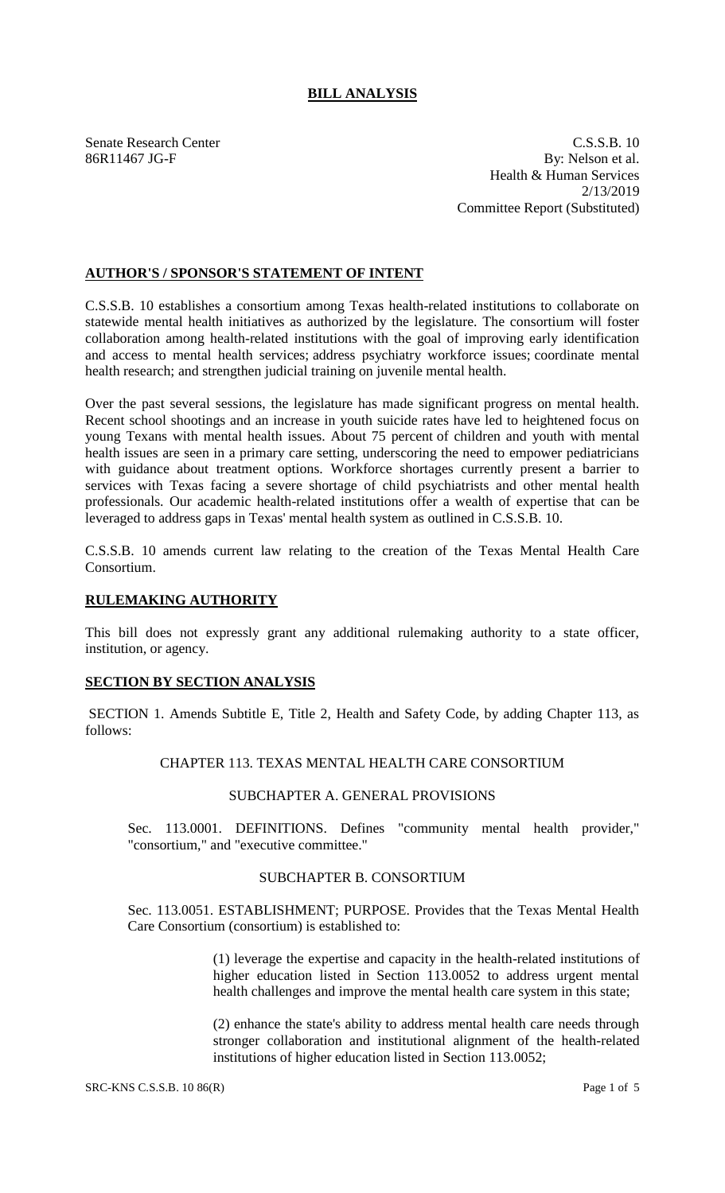# **BILL ANALYSIS**

Senate Research Center C.S.S.B. 10 86R11467 JG-F By: Nelson et al. Health & Human Services 2/13/2019 Committee Report (Substituted)

# **AUTHOR'S / SPONSOR'S STATEMENT OF INTENT**

C.S.S.B. 10 establishes a consortium among Texas health-related institutions to collaborate on statewide mental health initiatives as authorized by the legislature. The consortium will foster collaboration among health-related institutions with the goal of improving early identification and access to mental health services; address psychiatry workforce issues; coordinate mental health research; and strengthen judicial training on juvenile mental health.

Over the past several sessions, the legislature has made significant progress on mental health. Recent school shootings and an increase in youth suicide rates have led to heightened focus on young Texans with mental health issues. About 75 percent of children and youth with mental health issues are seen in a primary care setting, underscoring the need to empower pediatricians with guidance about treatment options. Workforce shortages currently present a barrier to services with Texas facing a severe shortage of child psychiatrists and other mental health professionals. Our academic health-related institutions offer a wealth of expertise that can be leveraged to address gaps in Texas' mental health system as outlined in C.S.S.B. 10.

C.S.S.B. 10 amends current law relating to the creation of the Texas Mental Health Care Consortium.

## **RULEMAKING AUTHORITY**

This bill does not expressly grant any additional rulemaking authority to a state officer, institution, or agency.

## **SECTION BY SECTION ANALYSIS**

SECTION 1. Amends Subtitle E, Title 2, Health and Safety Code, by adding Chapter 113, as follows:

#### CHAPTER 113. TEXAS MENTAL HEALTH CARE CONSORTIUM

## SUBCHAPTER A. GENERAL PROVISIONS

Sec. 113.0001. DEFINITIONS. Defines "community mental health provider," "consortium," and "executive committee."

## SUBCHAPTER B. CONSORTIUM

Sec. 113.0051. ESTABLISHMENT; PURPOSE. Provides that the Texas Mental Health Care Consortium (consortium) is established to:

> (1) leverage the expertise and capacity in the health-related institutions of higher education listed in Section 113.0052 to address urgent mental health challenges and improve the mental health care system in this state;

> (2) enhance the state's ability to address mental health care needs through stronger collaboration and institutional alignment of the health-related institutions of higher education listed in Section 113.0052;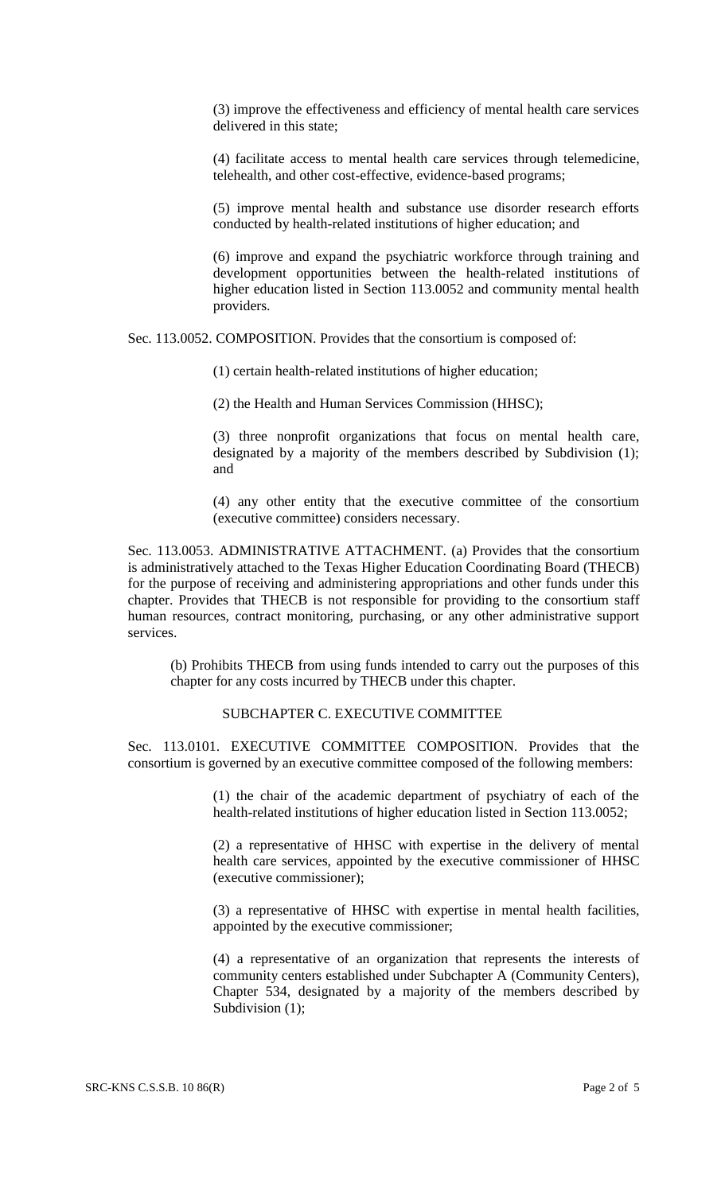(3) improve the effectiveness and efficiency of mental health care services delivered in this state;

(4) facilitate access to mental health care services through telemedicine, telehealth, and other cost-effective, evidence-based programs;

(5) improve mental health and substance use disorder research efforts conducted by health-related institutions of higher education; and

(6) improve and expand the psychiatric workforce through training and development opportunities between the health-related institutions of higher education listed in Section 113.0052 and community mental health providers.

Sec. 113.0052. COMPOSITION. Provides that the consortium is composed of:

(1) certain health-related institutions of higher education;

(2) the Health and Human Services Commission (HHSC);

(3) three nonprofit organizations that focus on mental health care, designated by a majority of the members described by Subdivision (1); and

(4) any other entity that the executive committee of the consortium (executive committee) considers necessary.

Sec. 113.0053. ADMINISTRATIVE ATTACHMENT. (a) Provides that the consortium is administratively attached to the Texas Higher Education Coordinating Board (THECB) for the purpose of receiving and administering appropriations and other funds under this chapter. Provides that THECB is not responsible for providing to the consortium staff human resources, contract monitoring, purchasing, or any other administrative support services.

(b) Prohibits THECB from using funds intended to carry out the purposes of this chapter for any costs incurred by THECB under this chapter.

## SUBCHAPTER C. EXECUTIVE COMMITTEE

Sec. 113.0101. EXECUTIVE COMMITTEE COMPOSITION. Provides that the consortium is governed by an executive committee composed of the following members:

> (1) the chair of the academic department of psychiatry of each of the health-related institutions of higher education listed in Section 113.0052;

> (2) a representative of HHSC with expertise in the delivery of mental health care services, appointed by the executive commissioner of HHSC (executive commissioner);

> (3) a representative of HHSC with expertise in mental health facilities, appointed by the executive commissioner;

> (4) a representative of an organization that represents the interests of community centers established under Subchapter A (Community Centers), Chapter 534, designated by a majority of the members described by Subdivision (1);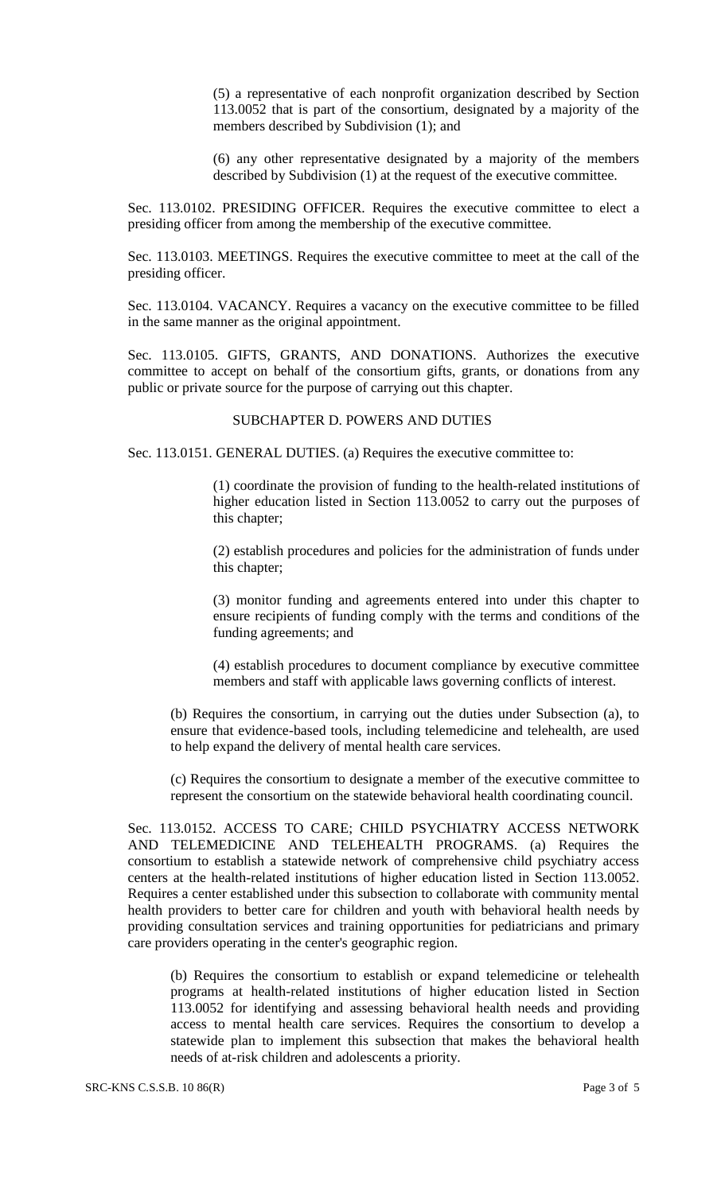(5) a representative of each nonprofit organization described by Section 113.0052 that is part of the consortium, designated by a majority of the members described by Subdivision (1); and

(6) any other representative designated by a majority of the members described by Subdivision (1) at the request of the executive committee.

Sec. 113.0102. PRESIDING OFFICER. Requires the executive committee to elect a presiding officer from among the membership of the executive committee.

Sec. 113.0103. MEETINGS. Requires the executive committee to meet at the call of the presiding officer.

Sec. 113.0104. VACANCY. Requires a vacancy on the executive committee to be filled in the same manner as the original appointment.

Sec. 113.0105. GIFTS, GRANTS, AND DONATIONS. Authorizes the executive committee to accept on behalf of the consortium gifts, grants, or donations from any public or private source for the purpose of carrying out this chapter.

# SUBCHAPTER D. POWERS AND DUTIES

Sec. 113.0151. GENERAL DUTIES. (a) Requires the executive committee to:

(1) coordinate the provision of funding to the health-related institutions of higher education listed in Section 113.0052 to carry out the purposes of this chapter;

(2) establish procedures and policies for the administration of funds under this chapter;

(3) monitor funding and agreements entered into under this chapter to ensure recipients of funding comply with the terms and conditions of the funding agreements; and

(4) establish procedures to document compliance by executive committee members and staff with applicable laws governing conflicts of interest.

(b) Requires the consortium, in carrying out the duties under Subsection (a), to ensure that evidence-based tools, including telemedicine and telehealth, are used to help expand the delivery of mental health care services.

(c) Requires the consortium to designate a member of the executive committee to represent the consortium on the statewide behavioral health coordinating council.

Sec. 113.0152. ACCESS TO CARE; CHILD PSYCHIATRY ACCESS NETWORK AND TELEMEDICINE AND TELEHEALTH PROGRAMS. (a) Requires the consortium to establish a statewide network of comprehensive child psychiatry access centers at the health-related institutions of higher education listed in Section 113.0052. Requires a center established under this subsection to collaborate with community mental health providers to better care for children and youth with behavioral health needs by providing consultation services and training opportunities for pediatricians and primary care providers operating in the center's geographic region.

(b) Requires the consortium to establish or expand telemedicine or telehealth programs at health-related institutions of higher education listed in Section 113.0052 for identifying and assessing behavioral health needs and providing access to mental health care services. Requires the consortium to develop a statewide plan to implement this subsection that makes the behavioral health needs of at-risk children and adolescents a priority.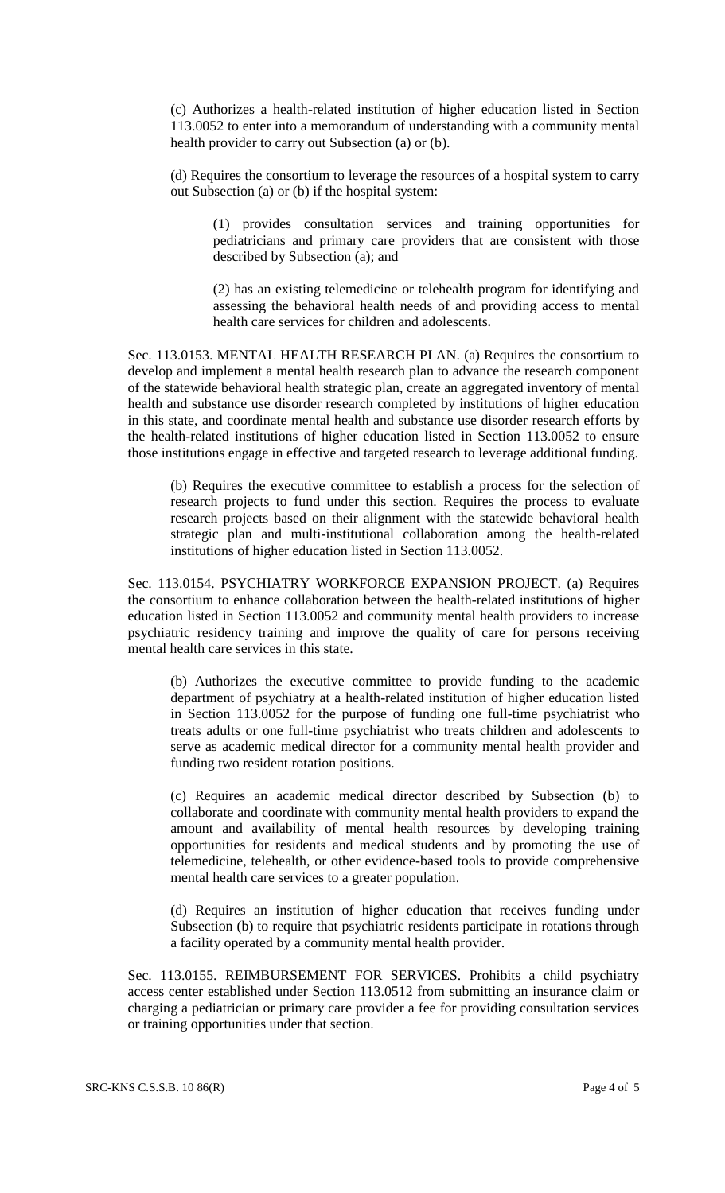(c) Authorizes a health-related institution of higher education listed in Section 113.0052 to enter into a memorandum of understanding with a community mental health provider to carry out Subsection (a) or (b).

(d) Requires the consortium to leverage the resources of a hospital system to carry out Subsection (a) or (b) if the hospital system:

(1) provides consultation services and training opportunities for pediatricians and primary care providers that are consistent with those described by Subsection (a); and

(2) has an existing telemedicine or telehealth program for identifying and assessing the behavioral health needs of and providing access to mental health care services for children and adolescents.

Sec. 113.0153. MENTAL HEALTH RESEARCH PLAN. (a) Requires the consortium to develop and implement a mental health research plan to advance the research component of the statewide behavioral health strategic plan, create an aggregated inventory of mental health and substance use disorder research completed by institutions of higher education in this state, and coordinate mental health and substance use disorder research efforts by the health-related institutions of higher education listed in Section 113.0052 to ensure those institutions engage in effective and targeted research to leverage additional funding.

(b) Requires the executive committee to establish a process for the selection of research projects to fund under this section. Requires the process to evaluate research projects based on their alignment with the statewide behavioral health strategic plan and multi-institutional collaboration among the health-related institutions of higher education listed in Section 113.0052.

Sec. 113.0154. PSYCHIATRY WORKFORCE EXPANSION PROJECT. (a) Requires the consortium to enhance collaboration between the health-related institutions of higher education listed in Section 113.0052 and community mental health providers to increase psychiatric residency training and improve the quality of care for persons receiving mental health care services in this state.

(b) Authorizes the executive committee to provide funding to the academic department of psychiatry at a health-related institution of higher education listed in Section 113.0052 for the purpose of funding one full-time psychiatrist who treats adults or one full-time psychiatrist who treats children and adolescents to serve as academic medical director for a community mental health provider and funding two resident rotation positions.

(c) Requires an academic medical director described by Subsection (b) to collaborate and coordinate with community mental health providers to expand the amount and availability of mental health resources by developing training opportunities for residents and medical students and by promoting the use of telemedicine, telehealth, or other evidence-based tools to provide comprehensive mental health care services to a greater population.

(d) Requires an institution of higher education that receives funding under Subsection (b) to require that psychiatric residents participate in rotations through a facility operated by a community mental health provider.

Sec. 113.0155. REIMBURSEMENT FOR SERVICES. Prohibits a child psychiatry access center established under Section 113.0512 from submitting an insurance claim or charging a pediatrician or primary care provider a fee for providing consultation services or training opportunities under that section.